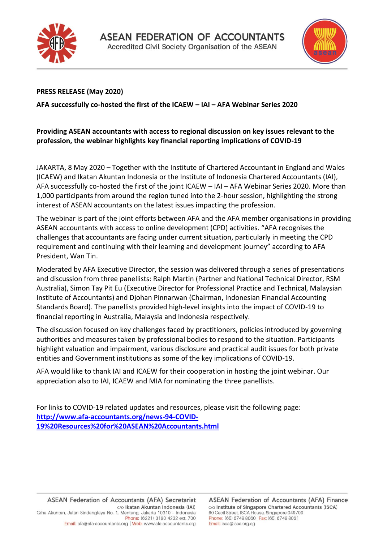



## **PRESS RELEASE (May 2020)**

**AFA successfully co-hosted the first of the ICAEW – IAI – AFA Webinar Series 2020**

## **Providing ASEAN accountants with access to regional discussion on key issues relevant to the profession, the webinar highlights key financial reporting implications of COVID-19**

JAKARTA, 8 May 2020 – Together with the Institute of Chartered Accountant in England and Wales (ICAEW) and Ikatan Akuntan Indonesia or the Institute of Indonesia Chartered Accountants (IAI), AFA successfully co-hosted the first of the joint ICAEW – IAI – AFA Webinar Series 2020. More than 1,000 participants from around the region tuned into the 2-hour session, highlighting the strong interest of ASEAN accountants on the latest issues impacting the profession.

The webinar is part of the joint efforts between AFA and the AFA member organisations in providing ASEAN accountants with access to online development (CPD) activities. "AFA recognises the challenges that accountants are facing under current situation, particularly in meeting the CPD requirement and continuing with their learning and development journey" according to AFA President, Wan Tin.

Moderated by AFA Executive Director, the session was delivered through a series of presentations and discussion from three panellists: Ralph Martin (Partner and National Technical Director, RSM Australia), Simon Tay Pit Eu (Executive Director for Professional Practice and Technical, Malaysian Institute of Accountants) and Djohan Pinnarwan (Chairman, Indonesian Financial Accounting Standards Board). The panellists provided high-level insights into the impact of COVID-19 to financial reporting in Australia, Malaysia and Indonesia respectively.

The discussion focused on key challenges faced by practitioners, policies introduced by governing authorities and measures taken by professional bodies to respond to the situation. Participants highlight valuation and impairment, various disclosure and practical audit issues for both private entities and Government institutions as some of the key implications of COVID-19.

AFA would like to thank IAI and ICAEW for their cooperation in hosting the joint webinar. Our appreciation also to IAI, ICAEW and MIA for nominating the three panellists.

For links to COVID-19 related updates and resources, please visit the following page: **[http://www.afa-accountants.org/news-94-COVID-](http://www.afa-accountants.org/news-94-COVID-19%20Resources%20for%20ASEAN%20Accountants.html)[19%20Resources%20for%20ASEAN%20Accountants.html](http://www.afa-accountants.org/news-94-COVID-19%20Resources%20for%20ASEAN%20Accountants.html)**